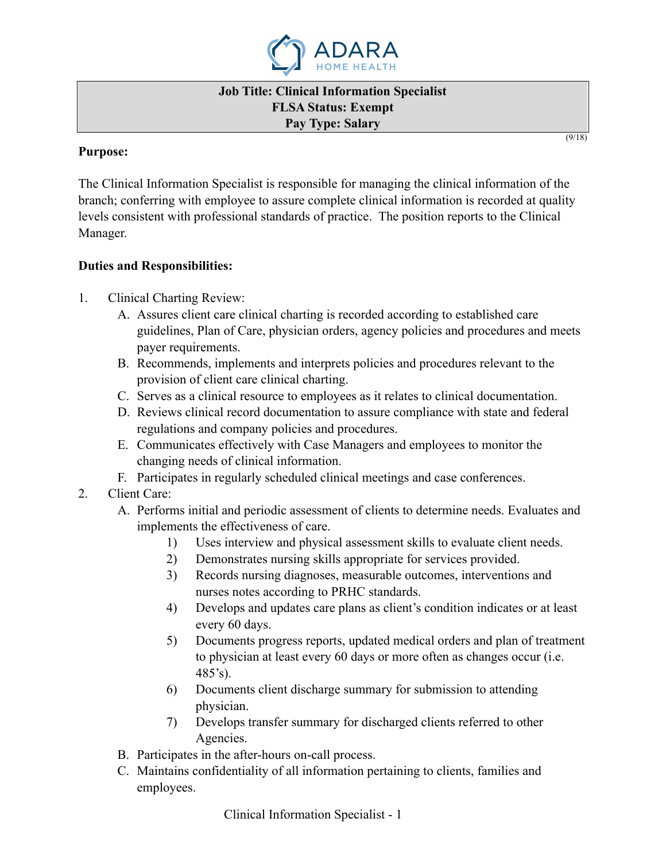

#### **Job Title: Clinical Information Specialist FLSA Status: Exempt Pay Type: Salary**

 $(9/18)$ 

### **Purpose:**

The Clinical Information Specialist is responsible for managing the clinical information of the branch; conferring with employee to assure complete clinical information is recorded at quality levels consistent with professional standards of practice. The position reports to the Clinical Manager.

## **Duties and Responsibilities:**

- 1. Clinical Charting Review:
	- A. Assures client care clinical charting is recorded according to established care guidelines, Plan of Care, physician orders, agency policies and procedures and meets payer requirements.
	- B. Recommends, implements and interprets policies and procedures relevant to the provision of client care clinical charting.
	- C. Serves as a clinical resource to employees as it relates to clinical documentation.
	- D. Reviews clinical record documentation to assure compliance with state and federal regulations and company policies and procedures.
	- E. Communicates effectively with Case Managers and employees to monitor the changing needs of clinical information.
	- F. Participates in regularly scheduled clinical meetings and case conferences.
- 2. Client Care:
	- A. Performs initial and periodic assessment of clients to determine needs. Evaluates and implements the effectiveness of care.
		- 1) Uses interview and physical assessment skills to evaluate client needs.
		- 2) Demonstrates nursing skills appropriate for services provided.
		- 3) Records nursing diagnoses, measurable outcomes, interventions and nurses notes according to PRHC standards.
		- 4) Develops and updates care plans as client's condition indicates or at least every 60 days.
		- 5) Documents progress reports, updated medical orders and plan of treatment to physician at least every 60 days or more often as changes occur (i.e. 485's).
		- 6) Documents client discharge summary for submission to attending physician.
		- 7) Develops transfer summary for discharged clients referred to other Agencies.
	- B. Participates in the after-hours on-call process.
	- C. Maintains confidentiality of all information pertaining to clients, families and employees.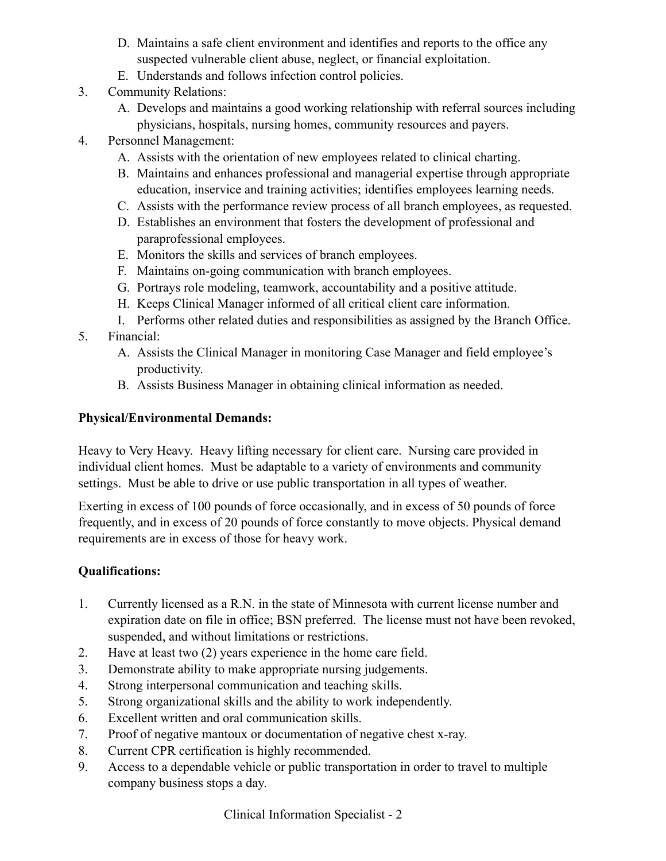- D. Maintains a safe client environment and identifies and reports to the office any suspected vulnerable client abuse, neglect, or financial exploitation.
- E. Understands and follows infection control policies.
- 3. Community Relations:
	- A. Develops and maintains a good working relationship with referral sources including physicians, hospitals, nursing homes, community resources and payers.
- 4. Personnel Management:
	- A. Assists with the orientation of new employees related to clinical charting.
	- B. Maintains and enhances professional and managerial expertise through appropriate education, inservice and training activities; identifies employees learning needs.
	- C. Assists with the performance review process of all branch employees, as requested.
	- D. Establishes an environment that fosters the development of professional and paraprofessional employees.
	- E. Monitors the skills and services of branch employees.
	- F. Maintains on-going communication with branch employees.
	- G. Portrays role modeling, teamwork, accountability and a positive attitude.
	- H. Keeps Clinical Manager informed of all critical client care information.
	- I. Performs other related duties and responsibilities as assigned by the Branch Office.
- 5. Financial:
	- A. Assists the Clinical Manager in monitoring Case Manager and field employee's productivity.
	- B. Assists Business Manager in obtaining clinical information as needed.

### **Physical/Environmental Demands:**

Heavy to Very Heavy. Heavy lifting necessary for client care. Nursing care provided in individual client homes. Must be adaptable to a variety of environments and community settings. Must be able to drive or use public transportation in all types of weather.

Exerting in excess of 100 pounds of force occasionally, and in excess of 50 pounds of force frequently, and in excess of 20 pounds of force constantly to move objects. Physical demand requirements are in excess of those for heavy work.

# **Qualifications:**

- 1. Currently licensed as a R.N. in the state of Minnesota with current license number and expiration date on file in office; BSN preferred. The license must not have been revoked, suspended, and without limitations or restrictions.
- 2. Have at least two (2) years experience in the home care field.
- 3. Demonstrate ability to make appropriate nursing judgements.
- 4. Strong interpersonal communication and teaching skills.
- 5. Strong organizational skills and the ability to work independently.
- 6. Excellent written and oral communication skills.
- 7. Proof of negative mantoux or documentation of negative chest x-ray.
- 8. Current CPR certification is highly recommended.
- 9. Access to a dependable vehicle or public transportation in order to travel to multiple company business stops a day.